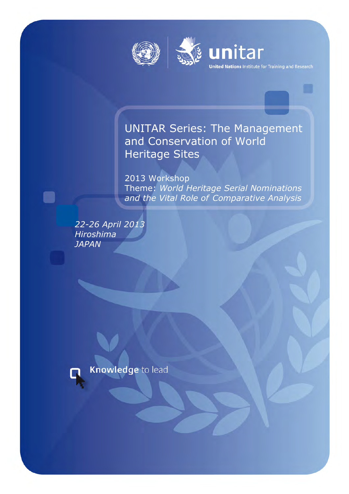



# UNITAR Series: The Management and Conservation of World Heritage Sites

unitar

**United Nations** Institute for Training and Research

2013 Workshop Theme: *World Heritage Serial Nominations and the Vital Role of Comparative Analysis*

22-26 April 2013 *Hiroshima JAPAN*



n

Knowledge to lead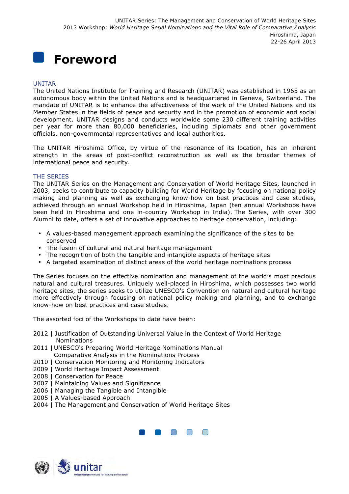

#### UNITAR

The United Nations Institute for Training and Research (UNITAR) was established in 1965 as an autonomous body within the United Nations and is headquartered in Geneva, Switzerland. The mandate of UNITAR is to enhance the effectiveness of the work of the United Nations and its Member States in the fields of peace and security and in the promotion of economic and social development. UNITAR designs and conducts worldwide some 230 different training activities per year for more than 80,000 beneficiaries, including diplomats and other government officials, non-governmental representatives and local authorities.

The UNITAR Hiroshima Office, by virtue of the resonance of its location, has an inherent strength in the areas of post-conflict reconstruction as well as the broader themes of international peace and security.

#### THE SERIES

The UNITAR Series on the Management and Conservation of World Heritage Sites, launched in 2003, seeks to contribute to capacity building for World Heritage by focusing on national policy making and planning as well as exchanging know-how on best practices and case studies, achieved through an annual Workshop held in Hiroshima, Japan (ten annual Workshops have been held in Hiroshima and one in-country Workshop in India). The Series, with over 300 Alumni to date, offers a set of innovative approaches to heritage conservation, including:

- A values-based management approach examining the significance of the sites to be conserved
- The fusion of cultural and natural heritage management
- The recognition of both the tangible and intangible aspects of heritage sites
- A targeted examination of distinct areas of the world heritage nominations process

The Series focuses on the effective nomination and management of the world's most precious natural and cultural treasures. Uniquely well-placed in Hiroshima, which possesses two world heritage sites, the series seeks to utilize UNESCO's Convention on natural and cultural heritage more effectively through focusing on national policy making and planning, and to exchange know-how on best practices and case studies.

The assorted foci of the Workshops to date have been:

- 2012 | Justification of Outstanding Universal Value in the Context of World Heritage **Nominations**
- 2011 | UNESCO's Preparing World Heritage Nominations Manual Comparative Analysis in the Nominations Process
- 2010 | Conservation Monitoring and Monitoring Indicators
- 2009 | World Heritage Impact Assessment
- 2008 | Conservation for Peace
- 2007 | Maintaining Values and Significance
- 2006 | Managing the Tangible and Intangible
- 2005 | A Values-based Approach
- 2004 | The Management and Conservation of World Heritage Sites



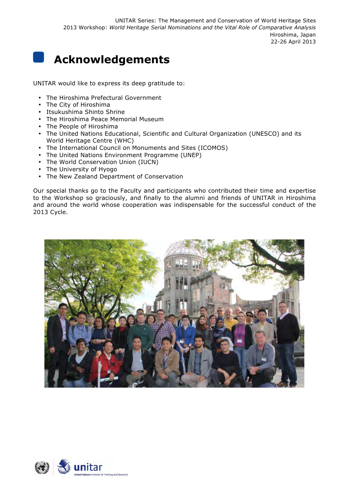# **Acknowledgements**

UNITAR would like to express its deep gratitude to:

- The Hiroshima Prefectural Government
- The City of Hiroshima
- Itsukushima Shinto Shrine
- The Hiroshima Peace Memorial Museum
- The People of Hiroshima
- The United Nations Educational, Scientific and Cultural Organization (UNESCO) and its World Heritage Centre (WHC)
- The International Council on Monuments and Sites (ICOMOS)
- The United Nations Environment Programme (UNEP)
- The World Conservation Union (IUCN)
- The University of Hyogo
- The New Zealand Department of Conservation

Our special thanks go to the Faculty and participants who contributed their time and expertise to the Workshop so graciously, and finally to the alumni and friends of UNITAR in Hiroshima and around the world whose cooperation was indispensable for the successful conduct of the 2013 Cycle.



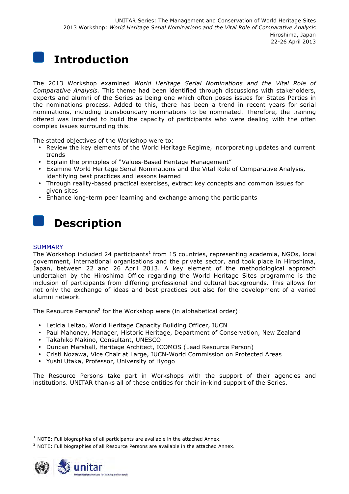# **Introduction**

The 2013 Workshop examined *World Heritage Serial Nominations and the Vital Role of Comparative Analysis.* This theme had been identified through discussions with stakeholders, experts and alumni of the Series as being one which often poses issues for States Parties in the nominations process. Added to this, there has been a trend in recent years for serial nominations, including transboundary nominations to be nominated. Therefore, the training offered was intended to build the capacity of participants who were dealing with the often complex issues surrounding this.

The stated objectives of the Workshop were to:

- Review the key elements of the World Heritage Regime, incorporating updates and current trends
- Explain the principles of "Values-Based Heritage Management"
- Examine World Heritage Serial Nominations and the Vital Role of Comparative Analysis, identifying best practices and lessons learned
- Through reality-based practical exercises, extract key concepts and common issues for given sites
- Enhance long-term peer learning and exchange among the participants

# **Description**

#### **SUMMARY**

The Workshop included 24 participants<sup>1</sup> from 15 countries, representing academia, NGOs, local government, international organisations and the private sector, and took place in Hiroshima, Japan, between 22 and 26 April 2013. A key element of the methodological approach undertaken by the Hiroshima Office regarding the World Heritage Sites programme is the inclusion of participants from differing professional and cultural backgrounds. This allows for not only the exchange of ideas and best practices but also for the development of a varied alumni network.

The Resource Persons<sup>2</sup> for the Workshop were (in alphabetical order):

- Leticia Leitao, World Heritage Capacity Building Officer, IUCN
- Paul Mahoney, Manager, Historic Heritage, Department of Conservation, New Zealand
- Takahiko Makino, Consultant, UNESCO
- Duncan Marshall, Heritage Architect, ICOMOS (Lead Resource Person)
- Cristi Nozawa, Vice Chair at Large, IUCN-World Commission on Protected Areas
- Yushi Utaka, Professor, University of Hyogo

The Resource Persons take part in Workshops with the support of their agencies and institutions. UNITAR thanks all of these entities for their in-kind support of the Series.

<sup>&</sup>lt;sup>2</sup> NOTE: Full biographies of all Resource Persons are available in the attached Annex.



 $\overline{a}$ 

 $1$  NOTE: Full biographies of all participants are available in the attached Annex.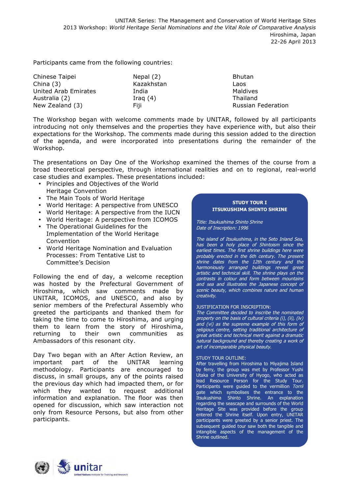Participants came from the following countries:

| Chinese Taipei       | Nepal (2)  | <b>Bhutan</b>             |
|----------------------|------------|---------------------------|
| China $(3)$          | Kazakhstan | Laos                      |
| United Arab Emirates | India      | Maldives                  |
| Australia (2)        | Iraq $(4)$ | Thailand                  |
| New Zealand (3)      | Fiii.      | <b>Russian Federation</b> |

The Workshop began with welcome comments made by UNITAR, followed by all participants introducing not only themselves and the properties they have experience with, but also their expectations for the Workshop. The comments made during this session added to the direction of the agenda, and were incorporated into presentations during the remainder of the Workshop.

The presentations on Day One of the Workshop examined the themes of the course from a broad theoretical perspective, through international realities and on to regional, real-world case studies and examples. These presentations included:

- Principles and Objectives of the World
- Heritage Convention
- The Main Tools of World Heritage
- World Heritage: A perspective from UNESCO
- World Heritage: A perspective from the IUCN
- World Heritage: A perspective from ICOMOS
- The Operational Guidelines for the Implementation of the World Heritage Convention
- World Heritage Nomination and Evaluation Processes: From Tentative List to Committee's Decision

Following the end of day, a welcome reception was hosted by the Prefectural Government of Hiroshima, which saw comments made by UNITAR, ICOMOS, and UNESCO, and also by senior members of the Prefectural Assembly who greeted the participants and thanked them for taking the time to come to Hiroshima, and urging them to learn from the story of Hiroshima, returning to their own communities as Ambassadors of this resonant city.

Day Two began with an After Action Review, an important part of the UNITAR learning methodology. Participants are encouraged to discuss, in small groups, any of the points raised the previous day which had impacted them, or for which they wanted to request additional information and explanation. The floor was then opened for discussion, which saw interaction not only from Resource Persons, but also from other participants.

#### **STUDY TOUR I ITSUKUSHIMA SHINTO SHRINE**

Title: Itsukushima Shinto Shrine Date of Inscription: 1996

The island of Itsukushima, in the Seto Inland Sea, has been a holy place of Shintoism since the earliest times. The first shrine buildings here were probably erected in the 6th century. The present shrine dates from the 12th century and the harmoniously arranged buildings reveal great artistic and technical skill. The shrine plays on the contrasts in colour and form between mountains and sea and illustrates the Japanese concept of scenic beauty, which combines nature and human creativity.

#### JUSTIFICATION FOR INSCRIPTION:

The Committee decided to inscribe the nominated property on the basis of cultural criteria (i), (ii), (iv) and (vi) as the supreme example of this form of religious centre, setting traditional architecture of great artistic and technical merit against a dramatic natural background and thereby creating a work of art of incomparable physical beauty.

#### STUDY TOUR OUTLINE:

After travelling from Hiroshima to Miyajima Island by ferry, the group was met by Professor Yushi Utaka of the University of Hyogo, who acted as lead Resource Person for the Study Tour. Participants were guided to the vermillion Torrii gate which symbolises the entrance to the Itsukushima Shinto Shrine. An explanation regarding the seascape and surrounds of the World Heritage Site was provided before the group entered the Shrine itself. Upon entry, UNITAR participants were greeted by a senior priest. The subsequent guided tour saw both the tangible and intangible aspects of the management of the Shrine outlined.

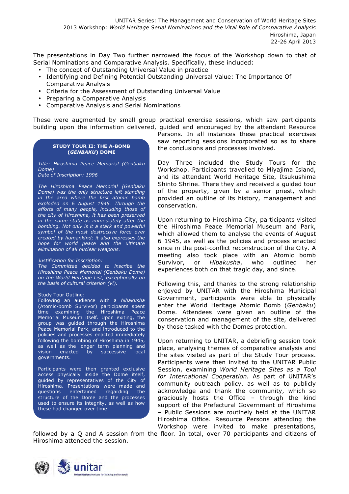The presentations in Day Two further narrowed the focus of the Workshop down to that of Serial Nominations and Comparative Analysis. Specifically, these included:

- The concept of Outstanding Universal Value in practice
- Identifying and Defining Potential Outstanding Universal Value: The Importance Of Comparative Analysis
- Criteria for the Assessment of Outstanding Universal Value
- Preparing a Comparative Analysis
- Comparative Analysis and Serial Nominations

These were augmented by small group practical exercise sessions, which saw participants building upon the information delivered, guided and encouraged by the attendant Resource

#### **STUDY TOUR II: THE A-BOMB (***GENBAKU***) DOME**

*Title: Hiroshima Peace Memorial (Genbaku Dome)*

*Date of Inscription: 1996*

*The Hiroshima Peace Memorial (Genbaku Dome) was the only structure left standing in the area where the first atomic bomb exploded on 6 August 1945. Through the efforts of many people, including those of the city of Hiroshima, it has been preserved in the same state as immediately after the bombing. Not only is it a stark and powerful symbol of the most destructive force ever created by humankind; it also expresses the hope for world peace and the ultimate elimination of all nuclear weapons.*

#### *Justification for Inscription:*

*The Committee decided to inscribe the Hiroshima Peace Memorial (Genbaku Dome) on the World Heritage List, exceptionally on the basis of cultural criterion (vi).*

#### Study Tour Outline:

Following an audience with a *hibakusha* (Atomic-bomb Survivor) participants spent time examining the Hiroshima Peace Memorial Museum itself. Upon exiting, the group was guided through the Hiroshima Peace Memorial Park, and introduced to the policies and processes enacted immediately following the bombing of Hiroshima in 1945, as well as the longer term planning and vision enacted by successive local governments.

Participants were then granted exclusive access physically inside the Dome itself, guided by representatives of the City of Hiroshima. Presentations were made and questions entertained regarding the structure of the Dome and the processes used to ensure its integrity, as well as how these had changed over time.

Persons. In all instances these practical exercises saw reporting sessions incorporated so as to share the conclusions and processes involved.

Day Three included the Study Tours for the Workshop. Participants travelled to Miyajima Island, and its attendant World Heritage Site, Itsukushima Shinto Shrine. There they and received a guided tour of the property, given by a senior priest, which provided an outline of its history, management and conservation.

Upon returning to Hiroshima City, participants visited the Hiroshima Peace Memorial Museum and Park, which allowed them to analyse the events of August 6 1945, as well as the policies and process enacted since in the post-conflict reconstruction of the City. A meeting also took place with an Atomic bomb Survivor, or *Hibakusha*, who outlined her experiences both on that tragic day, and since.

Following this, and thanks to the strong relationship enjoyed by UNITAR with the Hiroshima Municipal Government, participants were able to physically enter the World Heritage Atomic Bomb (*Genbaku*) Dome. Attendees were given an outline of the conservation and management of the site, delivered by those tasked with the Domes protection.

Upon returning to UNITAR, a debriefing session took place, analysing themes of comparative analysis and the sites visited as part of the Study Tour process. Participants were then invited to the UNITAR Public Session, examining *World Heritage Sites as a Tool for International Cooperation.* As part of UNITAR's community outreach policy, as well as to publicly acknowledge and thank the community, which so graciously hosts the Office – through the kind support of the Prefectural Government of Hiroshima – Public Sessions are routinely held at the UNITAR Hiroshima Office. Resource Persons attending the Workshop were invited to make presentations,

followed by a Q and A session from the floor. In total, over 70 participants and citizens of Hiroshima attended the session.

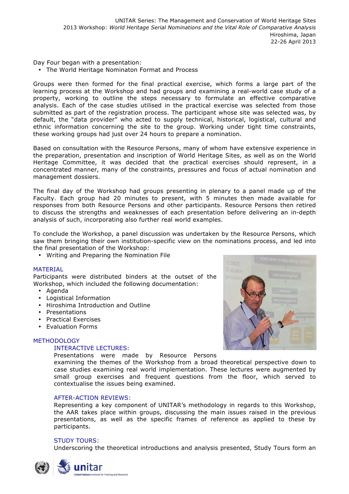Day Four began with a presentation:

• The World Heritage Nominaton Format and Process

Groups were then formed for the final practical exercise, which forms a large part of the learning process at the Workshop and had groups and examining a real-world case study of a property, working to outline the steps necessary to formulate an effective comparative analysis. Each of the case studies utilised in the practical exercise was selected from those submitted as part of the registration process. The participant whose site was selected was, by default, the "data provider" who acted to supply technical, historical, logistical, cultural and ethnic information concerning the site to the group. Working under tight time constraints, these working groups had just over 24 hours to prepare a nomination.

Based on consultation with the Resource Persons, many of whom have extensive experience in the preparation, presentation and inscription of World Heritage Sites, as well as on the World Heritage Committee, it was decided that the practical exercises should represent, in a concentrated manner, many of the constraints, pressures and focus of actual nomination and management dossiers.

The final day of the Workshop had groups presenting in plenary to a panel made up of the Faculty. Each group had 20 minutes to present, with 5 minutes then made available for responses from both Resource Persons and other participants. Resource Persons then retired to discuss the strengths and weaknesses of each presentation before delivering an in-depth analysis of such, incorporating also further real world examples.

To conclude the Workshop, a panel discussion was undertaken by the Resource Persons, which saw them bringing their own institution-specific view on the nominations process, and led into the final presentation of the Workshop:

• Writing and Preparing the Nomination File

#### MATERIAL

Participants were distributed binders at the outset of the Workshop, which included the following documentation:

- Agenda
- Logistical Information
- Hiroshima Introduction and Outline
- Presentations
- Practical Exercises
- Evaluation Forms

### **METHODOLOGY**

#### INTERACTIVE LECTURES:

Presentations were made by Resource Persons

examining the themes of the Workshop from a broad theoretical perspective down to case studies examining real world implementation. These lectures were augmented by small group exercises and frequent questions from the floor, which served to contextualise the issues being examined.

#### AFTER-ACTION REVIEWS:

Representing a key component of UNITAR's methodology in regards to this Workshop, the AAR takes place within groups, discussing the main issues raised in the previous presentations, as well as the specific frames of reference as applied to these by participants.

#### STUDY TOURS:

Underscoring the theoretical introductions and analysis presented, Study Tours form an



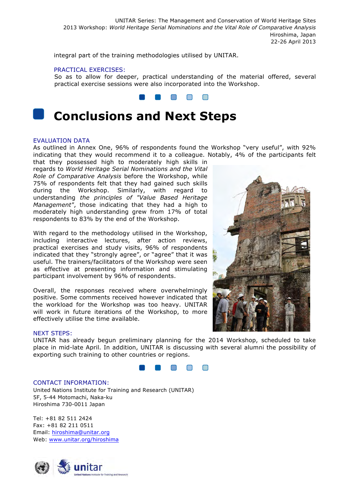integral part of the training methodologies utilised by UNITAR.

#### PRACTICAL EXERCISES:

So as to allow for deeper, practical understanding of the material offered, several practical exercise sessions were also incorporated into the Workshop.



# **Conclusions and Next Steps**

#### EVALUATION DATA

As outlined in Annex One, 96% of respondents found the Workshop "very useful", with 92% indicating that they would recommend it to a colleague. Notably, 4% of the participants felt that they possessed high to moderately high skills in

regards to *World Heritage Serial Nominations and the Vital Role of Comparative Analysis* before the Workshop, while 75% of respondents felt that they had gained such skills during the Workshop. Similarly, with regard to understanding *the principles of "Value Based Heritage Management"*, those indicating that they had a high to moderately high understanding grew from 17% of total respondents to 83% by the end of the Workshop.

With regard to the methodology utilised in the Workshop, including interactive lectures, after action reviews, practical exercises and study visits, 96% of respondents indicated that they "strongly agree", or "agree" that it was useful. The trainers/facilitators of the Workshop were seen as effective at presenting information and stimulating participant involvement by 96% of respondents.

Overall, the responses received where overwhelmingly positive. Some comments received however indicated that the workload for the Workshop was too heavy. UNITAR will work in future iterations of the Workshop, to more effectively utilise the time available.

#### NEXT STEPS:

UNITAR has already begun preliminary planning for the 2014 Workshop, scheduled to take place in mid-late April. In addition, UNITAR is discussing with several alumni the possibility of exporting such training to other countries or regions.



#### CONTACT INFORMATION:

United Nations Institute for Training and Research (UNITAR) 5F, 5-44 Motomachi, Naka-ku Hiroshima 730-0011 Japan

Tel: +81 82 511 2424 Fax: +81 82 211 0511 Email: hiroshima@unitar.org Web: www.unitar.org/hiroshima



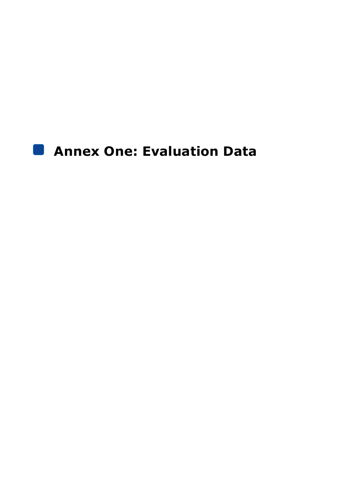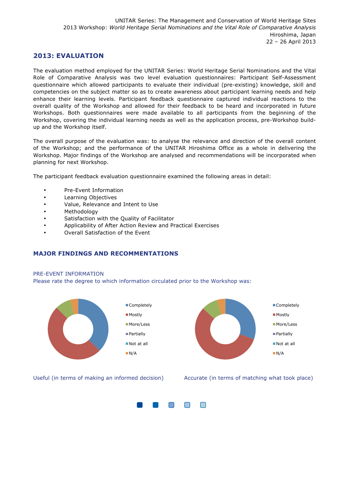### **2013: EVALUATION**

The evaluation method employed for the UNITAR Series: World Heritage Serial Nominations and the Vital Role of Comparative Analysis was two level evaluation questionnaires: Participant Self-Assessment questionnaire which allowed participants to evaluate their individual (pre-existing) knowledge, skill and competencies on the subject matter so as to create awareness about participant learning needs and help enhance their learning levels. Participant feedback questionnaire captured individual reactions to the overall quality of the Workshop and allowed for their feedback to be heard and incorporated in future Workshops. Both questionnaires were made available to all participants from the beginning of the Workshop, covering the individual learning needs as well as the application process, pre-Workshop buildup and the Workshop itself.

The overall purpose of the evaluation was: to analyse the relevance and direction of the overall content of the Workshop; and the performance of the UNITAR Hiroshima Office as a whole in delivering the Workshop. Major findings of the Workshop are analysed and recommendations will be incorporated when planning for next Workshop.

The participant feedback evaluation questionnaire examined the following areas in detail:

- Pre-Event Information
- Learning Objectives
- Value, Relevance and Intent to Use
- Methodology
- Satisfaction with the Quality of Facilitator
- Applicability of After Action Review and Practical Exercises
- Overall Satisfaction of the Event

#### **MAJOR FINDINGS AND RECOMMENTATIONS**

#### PRE-EVENT INFORMATION

Please rate the degree to which information circulated prior to the Workshop was:



Useful (in terms of making an informed decision) Accurate (in terms of matching what took place)

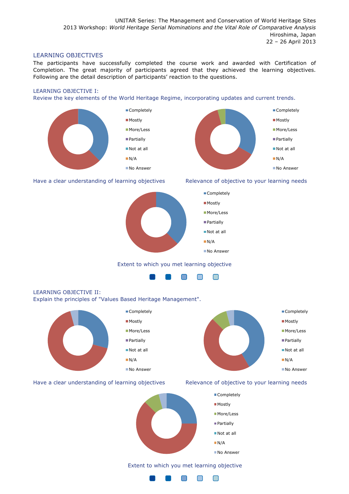#### LEARNING OBJECTIVES

The participants have successfully completed the course work and awarded with Certification of Completion. The great majority of participants agreed that they achieved the learning objectives. Following are the detail description of participants' reaction to the questions.

#### LEARNING OBJECTIVE I:

Review the key elements of the World Heritage Regime, incorporating updates and current trends.







#### Extent to which you met learning objective



### LEARNING OBJECTIVE II: Explain the principles of "Values Based Heritage Management".



#### Have a clear understanding of learning objectives Relevance of objective to your learning needs



## Extent to which you met learning objective

 $\blacksquare$ 

∩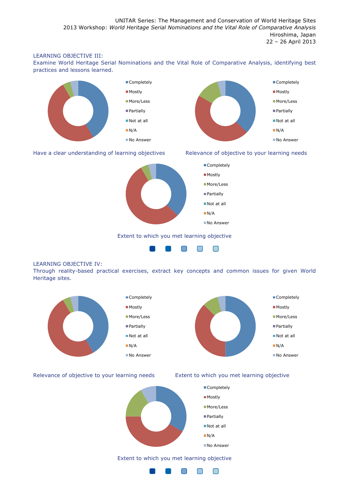#### LEARNING OBJECTIVE III:

Examine World Heritage Serial Nominations and the Vital Role of Comparative Analysis, identifying best practices and lessons learned.



Have a clear understanding of learning objectives Relevance of objective to your learning needs



Extent to which you met learning objective



#### LEARNING OBJECTIVE IV:

Through reality-based practical exercises, extract key concepts and common issues for given World Heritage sites.



Relevance of objective to your learning needs Extent to which you met learning objective





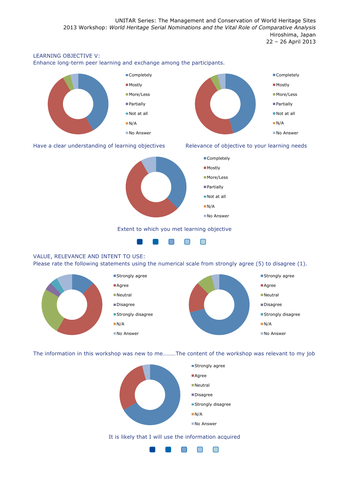#### LEARNING OBJECTIVE V:

Enhance long-term peer learning and exchange among the participants.



#### Have a clear understanding of learning objectives Relevance of objective to your learning needs





#### Extent to which you met learning objective



### VALUE, RELEVANCE AND INTENT TO USE:

Please rate the following statements using the numerical scale from strongly agree (5) to disagree (1).



The information in this workshop was new to me………The content of the workshop was relevant to my job



#### It is likely that I will use the information acquired

 $\Box$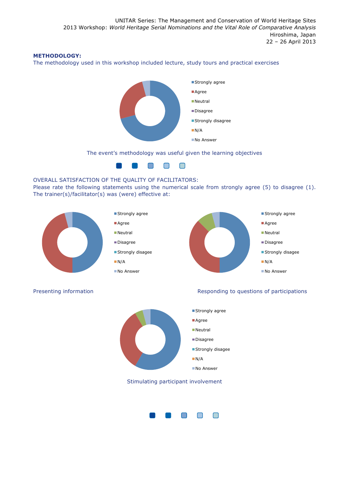### **METHODOLOGY:**

The methodology used in this workshop included lecture, study tours and practical exercises



The event's methodology was useful given the learning objectives



#### OVERALL SATISFACTION OF THE QUALITY OF FACILITATORS:

Please rate the following statements using the numerical scale from strongly agree (5) to disagree (1). The trainer(s)/facilitator(s) was (were) effective at:





#### Presenting information **Responding to questions of participations** Responding to questions of participations



Stimulating participant involvement

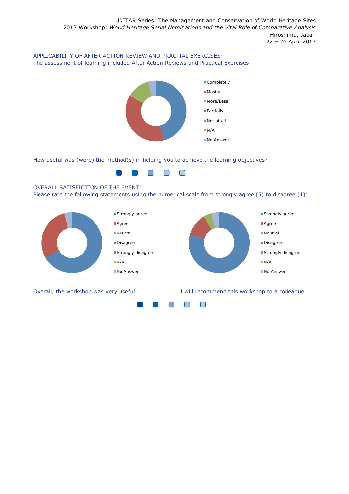### APPLICABILITY OF AFTER ACTION REVIEW AND PRACTIAL EXERCISES: The assessment of learning included After Action Reviews and Practical Exercises:



How useful was (were) the method(s) in helping you to achieve the learning objectives?



#### OVERALL SATISFICTION OF THE EVENT:

Please rate the following statements using the numerical scale from strongly agree (5) to disagree (1):



Overall, the workshop was very useful **I** will recommend this workshop to a colleague

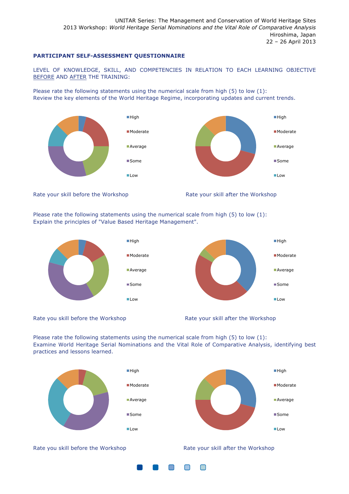#### **PARTICIPANT SELF-ASSESSMENT QUESTIONNAIRE**

LEVEL OF KNOWLEDGE, SKILL, AND COMPETENCIES IN RELATION TO EACH LEARNING OBJECTIVE BEFORE AND AFTER THE TRAINING:

Please rate the following statements using the numerical scale from high (5) to low (1): Review the key elements of the World Heritage Regime, incorporating updates and current trends.



Rate your skill before the Workshop Rate your skill after the Workshop

Please rate the following statements using the numerical scale from high (5) to low (1): Explain the principles of "Value Based Heritage Management".







**High** 

■ Moderate

**Average** 

**Some** 

 $\blacksquare$ Low

Please rate the following statements using the numerical scale from high (5) to low (1): Examine World Heritage Serial Nominations and the Vital Role of Comparative Analysis, identifying best practices and lessons learned.



Rate you skill before the Workshop Rate your skill after the Workshop

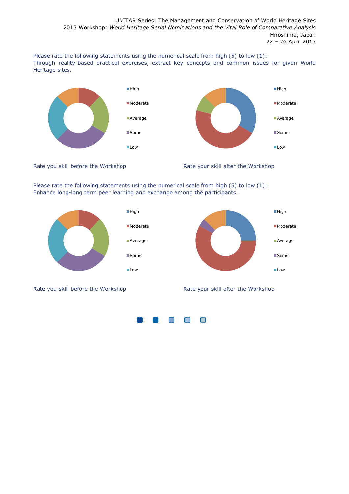Please rate the following statements using the numerical scale from high (5) to low (1): Through reality-based practical exercises, extract key concepts and common issues for given World Heritage sites.



Rate you skill before the Workshop Rate your skill after the Workshop

Please rate the following statements using the numerical scale from high (5) to low (1): Enhance long-long term peer learning and exchange among the participants.



Rate you skill before the Workshop Rate your skill after the Workshop

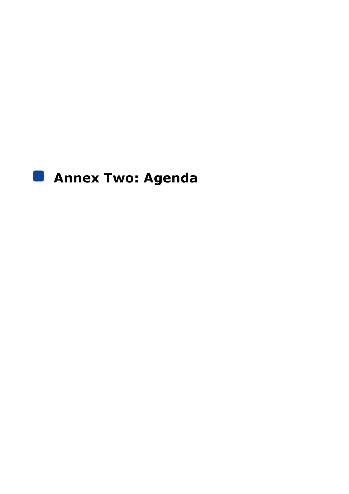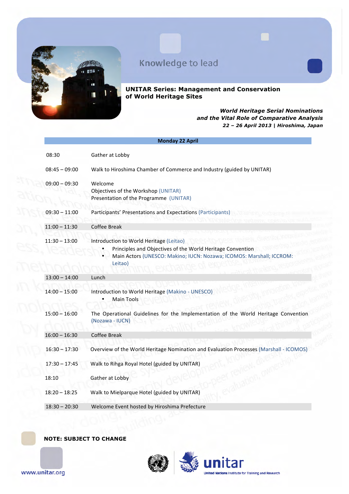

**UNITAR Series: Management and Conservation of World Heritage Sites**

#### *World Heritage Serial Nominations and the Vital Role of Comparative Analysis 22 – 26 April 2013 | Hiroshima, Japan*

|                 | <b>Monday 22 April</b>                                                                                                                                                                   |
|-----------------|------------------------------------------------------------------------------------------------------------------------------------------------------------------------------------------|
| 08:30           | Gather at Lobby                                                                                                                                                                          |
| $08:45 - 09:00$ | Walk to Hiroshima Chamber of Commerce and Industry (guided by UNITAR)                                                                                                                    |
| $09:00 - 09:30$ | Welcome<br>Objectives of the Workshop (UNITAR)<br>Presentation of the Programme (UNITAR)                                                                                                 |
| $09:30 - 11:00$ | Participants' Presentations and Expectations (Participants)                                                                                                                              |
| $11:00 - 11:30$ | Coffee Break                                                                                                                                                                             |
| $11:30 - 13:00$ | Introduction to World Heritage (Leitao)<br>Principles and Objectives of the World Heritage Convention<br>Main Actors (UNESCO: Makino; IUCN: Nozawa; ICOMOS: Marshall; ICCROM:<br>Leitao) |
| $13:00 - 14:00$ | Lunch                                                                                                                                                                                    |
| $14:00 - 15:00$ | Introduction to World Heritage (Makino - UNESCO)<br><b>Main Tools</b>                                                                                                                    |
| $15:00 - 16:00$ | The Operational Guidelines for the Implementation of the World Heritage Convention<br>(Nozawa - IUCN)                                                                                    |
| $16:00 - 16:30$ | Coffee Break                                                                                                                                                                             |
| $16:30 - 17:30$ | Overview of the World Heritage Nomination and Evaluation Processes (Marshall - ICOMOS)                                                                                                   |
| $17:30 - 17:45$ | Walk to Rihga Royal Hotel (guided by UNITAR)                                                                                                                                             |
| 18:10           | Gather at Lobby                                                                                                                                                                          |
| $18:20 - 18:25$ | Walk to Mielparque Hotel (guided by UNITAR)                                                                                                                                              |
| $18:30 - 20:30$ | Welcome Event hosted by Hiroshima Prefecture                                                                                                                                             |
|                 |                                                                                                                                                                                          |

**NOTE: SUBJECT TO CHANGE**



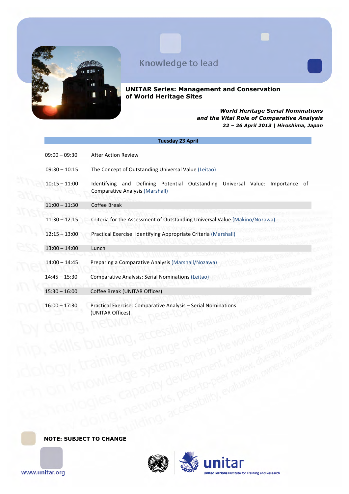

**UNITAR Series: Management and Conservation of World Heritage Sites**

#### *World Heritage Serial Nominations and the Vital Role of Comparative Analysis 22 – 26 April 2013 | Hiroshima, Japan*

|                 | <b>Tuesday 23 April</b>                                                                                                 |
|-----------------|-------------------------------------------------------------------------------------------------------------------------|
| $09:00 - 09:30$ | <b>After Action Review</b>                                                                                              |
| $09:30 - 10:15$ | The Concept of Outstanding Universal Value (Leitao)                                                                     |
| $10:15 - 11:00$ | Identifying and Defining Potential Outstanding Universal Value: Importance of<br><b>Comparative Analysis (Marshall)</b> |
| $11:00 - 11:30$ | Coffee Break                                                                                                            |
| $11:30 - 12:15$ | Criteria for the Assessment of Outstanding Universal Value (Makino/Nozawa)                                              |
| $12:15 - 13:00$ | Practical Exercise: Identifying Appropriate Criteria (Marshall)                                                         |
| $13:00 - 14:00$ | Lunch                                                                                                                   |
| $14:00 - 14:45$ | Preparing a Comparative Analysis (Marshall/Nozawa)                                                                      |
| $14:45 - 15:30$ | Comparative Analysis: Serial Nominations (Leitao)                                                                       |
| $15:30 - 16:00$ | Coffee Break (UNITAR Offices)                                                                                           |
| $16:00 - 17:30$ | Practical Exercise: Comparative Analysis - Serial Nominations<br>(UNITAR Offices)                                       |

**NOTE: SUBJECT TO CHANGE**

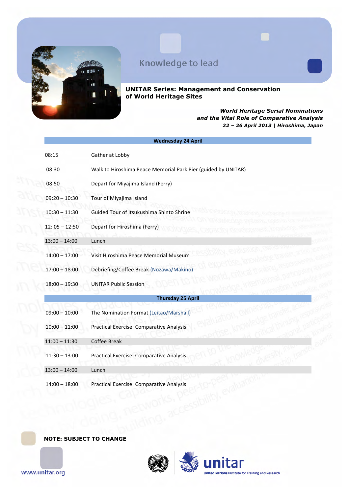

**UNITAR Series: Management and Conservation of World Heritage Sites**

#### *World Heritage Serial Nominations and the Vital Role of Comparative Analysis 22 – 26 April 2013 | Hiroshima, Japan*

|                 | <b>Wednesday 24 April</b>                                     |
|-----------------|---------------------------------------------------------------|
| 08:15           | Gather at Lobby                                               |
| 08:30           | Walk to Hiroshima Peace Memorial Park Pier (guided by UNITAR) |
| 08:50           | Depart for Miyajima Island (Ferry)                            |
| $09:20 - 10:30$ | Tour of Miyajima Island                                       |
| $10:30 - 11:30$ | Guided Tour of Itsukushima Shinto Shrine                      |
| $12:05 - 12:50$ | Depart for Hiroshima (Ferry)                                  |
| $13:00 - 14:00$ | Lunch                                                         |
| $14:00 - 17:00$ | Visit Hiroshima Peace Memorial Museum                         |
| $17:00 - 18:00$ | Debriefing/Coffee Break (Nozawa/Makino)                       |
| $18:00 - 19:30$ | <b>UNITAR Public Session</b>                                  |
|                 | <b>Thursday 25 April</b>                                      |
| $09:00 - 10:00$ | The Nomination Format (Leitao/Marshall)                       |
| $10:00 - 11:00$ | <b>Practical Exercise: Comparative Analysis</b>               |
| $11:00 - 11:30$ | <b>Coffee Break</b>                                           |
| $11:30 - 13:00$ | Practical Exercise: Comparative Analysis                      |
| $13:00 - 14:00$ | Lunch                                                         |
| $14:00 - 18:00$ | <b>Practical Exercise: Comparative Analysis</b>               |

**NOTE: SUBJECT TO CHANGE**

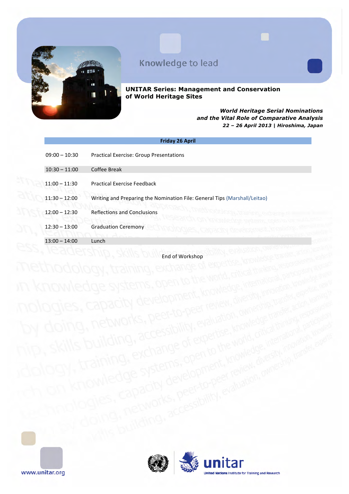

**UNITAR Series: Management and Conservation of World Heritage Sites**

#### *World Heritage Serial Nominations and the Vital Role of Comparative Analysis 22 – 26 April 2013 | Hiroshima, Japan*

| <b>Friday 26 April</b> |                                                                           |  |
|------------------------|---------------------------------------------------------------------------|--|
| $09:00 - 10:30$        | <b>Practical Exercise: Group Presentations</b>                            |  |
| $10:30 - 11:00$        | Coffee Break                                                              |  |
| $11:00 - 11:30$        | <b>Practical Exercise Feedback</b>                                        |  |
| $11:30 - 12:00$        | Writing and Preparing the Nomination File: General Tips (Marshall/Leitao) |  |
| $12:00 - 12:30$        | <b>Reflections and Conclusions</b>                                        |  |
| $12:30 - 13:00$        | <b>Graduation Ceremony</b>                                                |  |
| $13:00 - 14:00$        | Lunch                                                                     |  |

End of Workshop

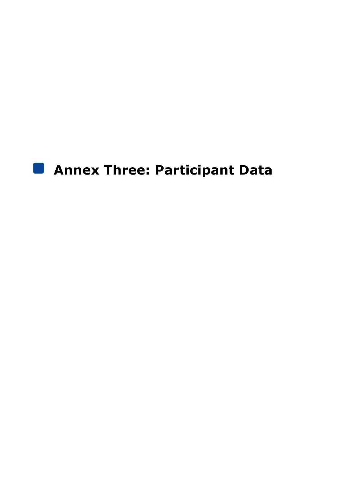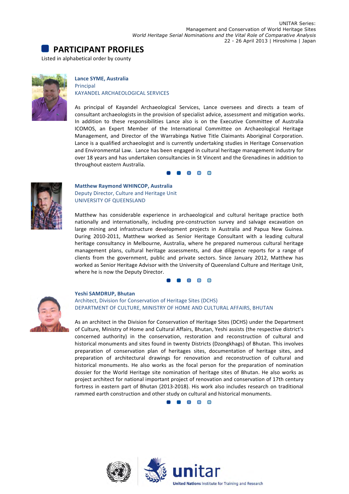



#### **Lance SYME, Australia** Principal KAYANDEL ARCHAEOLOGICAL SERVICES

As principal of Kayandel Archaeological Services, Lance oversees and directs a team of consultant archaeologists in the provision of specialist advice, assessment and mitigation works. In addition to these responsibilities Lance also is on the Executive Committee of Australia ICOMOS, an Expert Member of the International Committee on Archaeological Heritage Management, and Director of the Warrabinga Native Title Claimants Aboriginal Corporation. Lance is a qualified archaeologist and is currently undertaking studies in Heritage Conservation and Environmental Law. Lance has been engaged in cultural heritage management industry for



**Matthew Raymond WHINCOP, Australia** Deputy Director, Culture and Heritage Unit UNIVERSITY OF QUEENSLAND

throughout eastern Australia.

Matthew has considerable experience in archaeological and cultural heritage practice both nationally and internationally, including pre-construction survey and salvage excavation on large mining and infrastructure development projects in Australia and Papua New Guinea. During 2010-2011, Matthew worked as Senior Heritage Consultant with a leading cultural heritage consultancy in Melbourne, Australia, where he prepared numerous cultural heritage management plans, cultural heritage assessments, and due diligence reports for a range of clients from the government, public and private sectors. Since January 2012, Matthew has worked as Senior Heritage Advisor with the University of Queensland Culture and Heritage Unit, where he is now the Deputy Director.

over 18 years and has undertaken consultancies in St Vincent and the Grenadines in addition to

 $\blacksquare$ 

 $\blacksquare$ 



#### Yeshi SAMDRUP, Bhutan

Architect, Division for Conservation of Heritage Sites (DCHS) DEPARTMENT OF CULTURE, MINISTRY OF HOME AND CULTURAL AFFAIRS, BHUTAN

As an architect in the Division for Conservation of Heritage Sites (DCHS) under the Department of Culture, Ministry of Home and Cultural Affairs, Bhutan, Yeshi assists (the respective district's concerned authority) in the conservation, restoration and reconstruction of cultural and historical monuments and sites found in twenty Districts (Dzongkhags) of Bhutan. This involves preparation of conservation plan of heritages sites, documentation of heritage sites, and preparation of architectural drawings for renovation and reconstruction of cultural and historical monuments. He also works as the focal person for the preparation of nomination dossier for the World Heritage site nomination of heritage sites of Bhutan. He also works as project architect for national important project of renovation and conservation of 17th century fortress in eastern part of Bhutan (2013-2018). His work also includes research on traditional rammed earth construction and other study on cultural and historical monuments.

**. . . . .** 

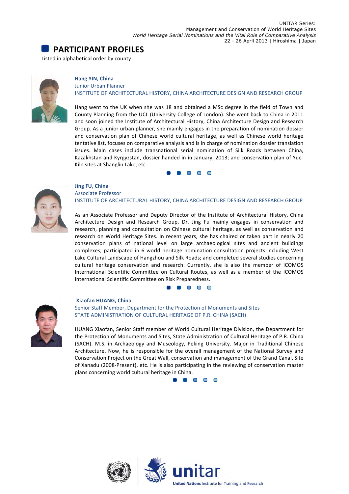## **PARTICIPANT PROFILES**

Listed in alphabetical order by county



#### **Hang YIN, China** Junior Urban Planner INSTITUTE OF ARCHITECTURAL HISTORY, CHINA ARCHITECTURE DESIGN AND RESEARCH GROUP

Hang went to the UK when she was 18 and obtained a MSc degree in the field of Town and County Planning from the UCL (University College of London). She went back to China in 2011 and soon joined the Institute of Architectural History, China Architecture Design and Research Group. As a junior urban planner, she mainly engages in the preparation of nomination dossier and conservation plan of Chinese world cultural heritage, as well as Chinese world heritage tentative list, focuses on comparative analysis and is in charge of nomination dossier translation issues. Main cases include transnational serial nomination of Silk Roads between China, Kazakhstan and Kyrgyzstan, dossier handed in in January, 2013; and conservation plan of Yue-Kiln sites at Shanglin Lake, etc.

> $\Box$  $\Box$



#### **Jing FU, China** Associate Professor INSTITUTE OF ARCHITECTURAL HISTORY, CHINA ARCHITECTURE DESIGN AND RESEARCH GROUP

As an Associate Professor and Deputy Director of the Institute of Architectural History, China Architecture Design and Research Group, Dr. Jing Fu mainly engages in conservation and research, planning and consultation on Chinese cultural heritage, as well as conservation and research on World Heritage Sites. In recent years, she has chaired or taken part in nearly 20 conservation plans of national level on large archaeological sites and ancient buildings complexes; participated in 6 world heritage nomination consultation projects including West Lake Cultural Landscape of Hangzhou and Silk Roads; and completed several studies concerning cultural heritage conservation and research. Currently, she is also the member of ICOMOS International Scientific Committee on Cultural Routes, as well as a member of the ICOMOS International Scientific Committee on Risk Preparedness.





#### **Xiaofan HUANG, China** Senior Staff Member, Department for the Protection of Monuments and Sites STATE ADMINISTRATION OF CULTURAL HERITAGE OF P.R. CHINA (SACH)

HUANG Xiaofan, Senior Staff member of World Cultural Heritage Division, the Department for the Protection of Monuments and Sites, State Administration of Cultural Heritage of P.R. China (SACH). M.S. in Archaeology and Museology, Peking University. Major in Traditional Chinese Architecture. Now, he is responsible for the overall management of the National Survey and Conservation Project on the Great Wall, conservation and management of the Grand Canal, Site of Xanadu (2008-Present), etc. He is also participating in the reviewing of conservation master plans concerning world cultural heritage in China.

8 8 8 8

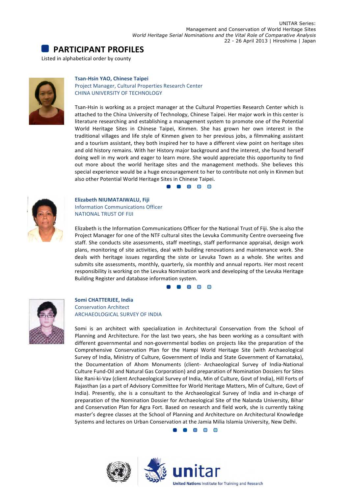



#### **Tsan-Hsin YAO, Chinese Taipei**

Project Manager, Cultural Properties Research Center CHINA UNIVERSITY OF TECHNOLOGY

Tsan-Hsin is working as a project manager at the Cultural Properties Research Center which is attached to the China University of Technology, Chinese Taipei. Her major work in this center is literature researching and establishing a management system to promote one of the Potential World Heritage Sites in Chinese Taipei, Kinmen. She has grown her own interest in the traditional villages and life style of Kinmen given to her previous jobs, a filmmaking assistant and a tourism assistant, they both inspired her to have a different view point on heritage sites and old history remains. With her History major background and the interest, she found herself doing well in my work and eager to learn more. She would appreciate this opportunity to find out more about the world heritage sites and the management methods. She believes this special experience would be a huge encouragement to her to contribute not only in Kinmen but also other Potential World Heritage Sites in Chinese Taipei.

**. . . .** 



#### **Elizabeth NIUMATAIWALU, Fiji** Information Communications Officer **NATIONAL TRUST OF FIJI**

Elizabeth is the Information Communications Officer for the National Trust of Fiji. She is also the Project Manager for one of the NTF cultural sites the Levuka Community Centre overseeing five staff. She conducts site assessments, staff meetings, staff performance appraisal, design work plans, monitoring of site activities, deal with building renovations and maintenance work. She deals with heritage issues regarding the siste or Levuka Town as a whole. She writes and submits site assessments, monthly, quarterly, six monthly and annual reports. Her most recent responsibility is working on the Levuka Nomination work and developing of the Levuka Heritage Building Register and database information system.





#### **Somi CHATTERJEE, India** Conservation Architect **ARCHAEOLOGICAL SURVEY OF INDIA**

Somi is an architect with specialization in Architectural Conservation from the School of Planning and Architecture. For the last two years, she has been working as a consultant with different governmental and non-governmental bodies on projects like the preparation of the Comprehensive Conservation Plan for the Hampi World Heritage Site (with Archaeological Survey of India, Ministry of Culture, Government of India and State Government of Karnataka), the Documentation of Ahom Monuments (client- Archaeological Survey of India-National Culture Fund-Oil and Natural Gas Corporation) and preparation of Nomination Dossiers for Sites like Rani-ki-Vav (client Archaeological Survey of India, Min of Culture, Govt of India), Hill Forts of Rajasthan (as a part of Advisory Committee for World Heritage Matters, Min of Culture, Govt of India). Presently, she is a consultant to the Archaeological Survey of India and in-charge of preparation of the Nomination Dossier for Archaeological Site of the Nalanda University, Bihar and Conservation Plan for Agra Fort. Based on research and field work, she is currently taking master's degree classes at the School of Planning and Architecture on Architectural Knowledge Systems and lectures on Urban Conservation at the Jamia Milia Islamia University, New Delhi.

**OB** OB

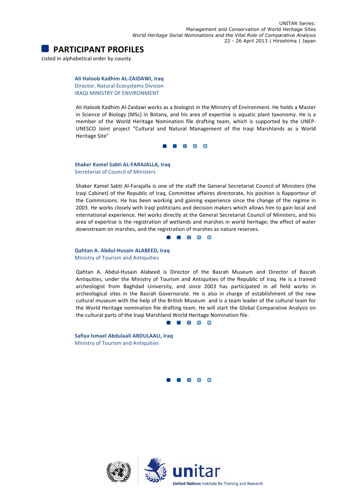

**Ali Haloob Kadhim AL-ZAIDAWI, Iraq** Director, Natural Ecosystems Division IRAQI MINISTRY OF ENVIRONMENT

Ali Haloob Kadhim Al-Zaidawi works as a biologist in the Ministry of Environment. He holds a Master in Science of Biology (MSc) in Botany, and his area of expertise is aquatic plant taxonomy. He is a member of the World Heritage Nomination file drafting team, which is supported by the UNEP-UNESCO Joint project "Cultural and Natural Management of the Iraqi Marshlands as a World Heritage Site"

**. . . .** 

**Shaker Kamel Sabti AL-FARAJALLA, Iraq** Secretariat of Council of Ministers

Shaker Kamel Sabti Al-Farajalla is one of the staff the General Secretariat Council of Ministers (the Iraqi Cabinet) of the Republic of Iraq, Committee affaires directorate, his position is Rapporteur of the Commissions. He has been working and gaining experience since the change of the regime in 2003. He works closely with Iraqi politicians and decision makers which allows him to gain local and international experience. HeI works directly at the General Secretariat Council of Ministers, and his area of expertise is the registration of wetlands and marshes in world heritage; the effect of water downstream on marshes, and the registration of marshes as nature reserves.

1 8 8 8 8

**Qahtan A. Abdul-Husain ALABEED, Iraq** Ministry of Tourism and Antiquities

Qahtan A. Abdul-Husain Alabeed is Director of the Basrah Museum and Director of Basrah Antiquities, under the Ministry of Tourism and Antiquities of the Republic of Iraq. He is a trained archeologist from Baghdad University, and since 2003 has participated in all field works in archeological sites in the Basrah Governorate. He is also in charge of establishment of the new cultural museum with the help of the British Museum and is a team leader of the cultural team for the World Heritage nomination file drafting team. He will start the Global Comparative Analysis on the cultural parts of the Iraqi Marshland World Heritage Nomination file.

1 8 8 8

**Safiya Ismael Abdulaali ABDULAALI, Iraq** Ministry of Tourism and Antiquities

> $\blacksquare$  $\Box$

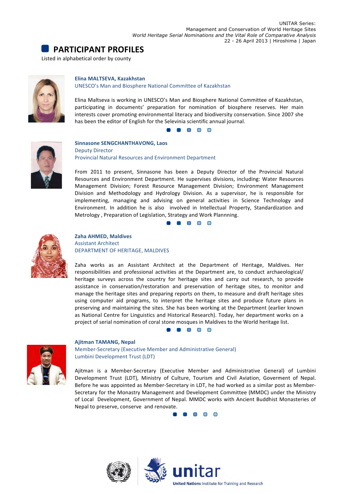



#### **Elina MALTSEVA, Kazakhstan**

UNESCO's Man and Biosphere National Committee of Kazakhstan

Elina Maltseva is working in UNESCO's Man and Biosphere National Committee of Kazakhstan, participating in documents' preparation for nomination of biosphere reserves. Her main interests cover promoting environmental literacy and biodiversity conservation. Since 2007 she has been the editor of English for the Selevinia scientific annual journal.





**Sinnasone SENGCHANTHAVONG, Laos** Deputy Director Provincial Natural Resources and Environment Department

From 2011 to present, Sinnasone has been a Deputy Director of the Provincial Natural Resources and Environment Department. He supervises divisions, including: Water Resources Management Division; Forest Resource Management Division; Environment Management Division and Methodology and Hydrology Division. As a supervisor, he is responsible for implementing, managing and advising on general activities in Science Technology and Environment. In addition he is also involved in Intellectual Property, Standardization and Metrology, Preparation of Legislation, Strategy and Work Plannning.

**. . . . .** 



#### **Zaha AHMED, Maldives Assistant Architect** DEPARTMENT OF HERITAGE, MALDIVES

Zaha works as an Assistant Architect at the Department of Heritage, Maldives. Her responsibilities and professional activities at the Department are, to conduct archaeological/ heritage surveys across the country for heritage sites and carry out research, to provide assistance in conservation/restoration and preservation of heritage sites, to monitor and manage the heritage sites and preparing reports on them, to measure and draft heritage sites using computer aid programs, to interpret the heritage sites and produce future plans in preserving and maintaining the sites. She has been working at the Department (earlier known as National Centre for Linguistics and Historical Research). Today, her department works on a project of serial nomination of coral stone mosques in Maldives to the World heritage list.





**Ajitman TAMANG, Nepal** Member-Secretary (Executive Member and Administrative General) Lumbini Development Trust (LDT)

Ajitman is a Member-Secretary (Executive Member and Administrative General) of Lumbini Development Trust (LDT), Ministry of Culture, Tourism and Civil Aviation, Goverment of Nepal. Before he was appointed as Member-Secretary in LDT, he had worked as a similar post as Member-Secretary for the Monastry Management and Development Committee (MMDC) under the Ministry of Local Development, Government of Nepal. MMDC works with Ancient Buddhist Monasteries of Nepal to preserve, conserve and renovate.

**. . .** 

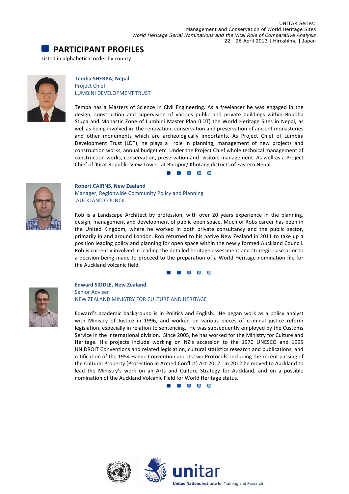



**Temba SHERPA, Nepal** Project Chief LUMBINI DEVELOPMENT TRUST

Temba has a Masters of Science in Civil Engineering. As a freelancer he was engaged in the design, construction and supervision of various public and private buildings within Boudha Stupa and Monastic Zone of Lumbini Master Plan (LDT) the World Heritage Sites in Nepal, as well as being involved in the renovation, conservation and preservation of ancient monasteries and other monuments which are archeologically importants. As Project Chief of Lumbini Development Trust (LDT), he plays a role in planning, management of new projects and construction works, annual budget etc. Under the Project Chief whole technical management of construction works, conservation, preservation and visitors management. As well as a Project Chief of 'Kirat Republic View Tower' at Bhojpur/ Khotang districts of Eastern Nepal.





#### **Robert CAIRNS, New Zealand** Manager, Regionwide Community Policy and Planning **AUCKLAND COUNCIL**

Rob is a Landscape Architect by profession, with over 20 years experience in the planning, design, management and development of public open space. Much of Robs career has been in the United Kingdom, where he worked in both private consultancy and the public sector, primarily in and around London. Rob returned to his native New Zealand in 2011 to take up a position leading policy and planning for open space within the newly formed Auckland Council. Rob is currently involved in leading the detailed heritage assessment and strategic case prior to a decision being made to proceed to the preparation of a World Heritage nomination file for the Auckland volcanic field.

 $\begin{array}{c} \bullet \hspace{1.5mm} \bullet \hspace{1.5mm} \bullet \hspace{1.5mm} \bullet \hspace{1.5mm} \bullet \hspace{1.5mm} \bullet \hspace{1.5mm} \bullet \hspace{1.5mm} \bullet \hspace{1.5mm} \bullet \hspace{1.5mm} \bullet \hspace{1.5mm} \bullet \hspace{1.5mm} \bullet \hspace{1.5mm} \bullet \hspace{1.5mm} \bullet \hspace{1.5mm} \bullet \hspace{1.5mm} \bullet \hspace{1.5mm} \bullet \hspace{1.5mm} \bullet \hspace{1.5mm} \bullet \hspace{1.5mm} \bullet \hs$ 



#### **Edward SIDDLE, New Zealand** Senior Adviser

NEW ZEALAND MINISTRY FOR CULTURE AND HERITAGE

Edward's academic background is in Politics and English. He began work as a policy analyst with Ministry of Justice in 1996, and worked on various pieces of criminal justice reform legislation, especially in relation to sentencing. He was subsequently employed by the Customs Service in the international division. Since 2005, he has worked for the Ministry for Culture and Heritage. His projects include working on NZ's accession to the 1970 UNESCO and 1995 UNIDROIT Conventions and related legislation, cultural statistics research and publications, and ratification of the 1954 Hague Convention and its two Protocols, including the recent passing of the Cultural Property (Protection in Armed Conflict) Act 2012. In 2012 he moved to Auckland to lead the Ministry's work on an Arts and Culture Strategy for Auckland, and on a possible nomination of the Auckland Volcanic Field for World Heritage status.

8 8 8 8 8

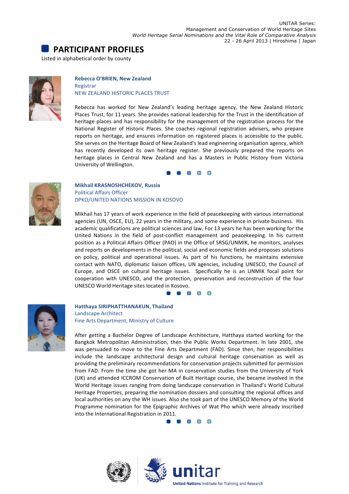



#### **Rebecca O'BRIEN, New Zealand**

Registrar **NEW ZEALAND HISTORIC PLACES TRUST** 

Rebecca has worked for New Zealand's leading heritage agency, the New Zealand Historic Places Trust, for 11 years. She provides national leadership for the Trust in the identification of heritage places and has responsibility for the management of the registration process for the National Register of Historic Places. She coaches regional registration advisers, who prepare reports on heritage, and ensures information on registered places is accessible to the public. She serves on the Heritage Board of New Zealand's lead engineering organisation agency, which has recently developed its own heritage register. She previously prepared the reports on heritage places in Central New Zealand and has a Masters in Public History from Victoria University of Wellington.

**RR** R



**Mikhail KRASNOSHCHEKOV, Russia** Political Affairs Officer DPKO/UNITED NATIONS MISSION IN KOSOVO

Mikhail has 17 years of work experience in the field of peacekeeping with various international agencies (UN, OSCE, EU), 22 years in the military, and some experience in private business. His academic qualifications are political sciences and law. For 13 years he has been working for the United Nations in the field of post-conflict management and peacekeeping. In his current position as a Political Affairs Officer (PAO) in the Office of SRSG/UNMIK, he monitors, analyses and reports on developments in the political, social and economic fields and proposes solutions on policy, political and operational issues. As part of his functions, he maintains extensive contact with NATO, diplomatic liaison offices, UN agencies, including UNESCO, the Council of Europe, and OSCE on cultural heritage issues. Specifically he is an UNMIK focal point for cooperation with UNESCO, and the protection, preservation and reconstruction of the four UNESCO World Heritage sites located in Kosovo.

 $\begin{array}{c} \bullet \\ \bullet \\ \bullet \end{array} \begin{array}{c} \bullet \\ \bullet \\ \bullet \end{array} \begin{array}{c} \bullet \\ \bullet \\ \bullet \end{array}$ 



**Hatthaya SIRIPHATTHANAKUN, Thailand** Landscape Architect Fine Arts Department, Ministry of Culture

After getting a Bachelor Degree of Landscape Architecture, Hatthaya started working for the Bangkok Metropolitan Administration, then the Public Works Department. In late 2001, she was persuaded to move to the Fine Arts Department (FAD). Since then, her responsibilities include the landscape architectural design and cultural heritage conservation as well as providing the preliminary recommendations for conservation projects submitted for permission from FAD. From the time she got her MA in conservation studies from the University of York (UK) and attended ICCROM Conservation of Built Heritage course, she became involved in the World Heritage issues ranging from doing landscape conservation in Thailand's World Cultural Heritage Properties, preparing the nomination dossiers and consulting the regional offices and local authorities on any the WH issues. Also she took part of the UNESCO Memory of the World Programme nomination for the Epigraphic Archives of Wat Pho which were already inscribed into the International Registration in 2011.



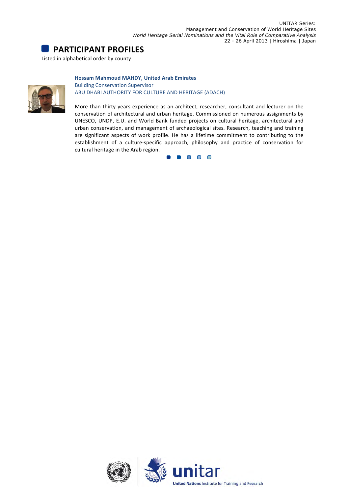

#### **Hossam Mahmoud MAHDY, United Arab Emirates**



**Building Conservation Supervisor** ABU DHABI AUTHORITY FOR CULTURE AND HERITAGE (ADACH)

More than thirty years experience as an architect, researcher, consultant and lecturer on the conservation of architectural and urban heritage. Commissioned on numerous assignments by UNESCO, UNDP, E.U. and World Bank funded projects on cultural heritage, architectural and urban conservation, and management of archaeological sites. Research, teaching and training are significant aspects of work profile. He has a lifetime commitment to contributing to the establishment of a culture-specific approach, philosophy and practice of conservation for cultural heritage in the Arab region.



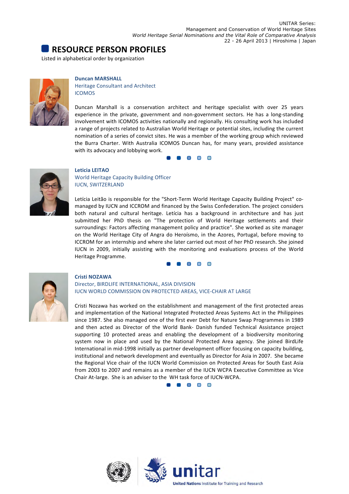## **RESOURCE PERSON PROFILES**

Listed in alphabetical order by organization



#### **Duncan MARSHALL**

Heritage Consultant and Architect ICOMOS

Duncan Marshall is a conservation architect and heritage specialist with over 25 years experience in the private, government and non-government sectors. He has a long-standing involvement with ICOMOS activities nationally and regionally. His consulting work has included a range of projects related to Australian World Heritage or potential sites, including the current nomination of a series of convict sites. He was a member of the working group which reviewed the Burra Charter. With Australia ICOMOS Duncan has, for many years, provided assistance with its advocacy and lobbying work.

> $\blacksquare$ n n



#### **Leticia LEITAO** World Heritage Capacity Building Officer **IUCN, SWITZERLAND**

Letícia Leitão is responsible for the "Short-Term World Heritage Capacity Building Project" comanaged by IUCN and ICCROM and financed by the Swiss Confederation. The project considers both natural and cultural heritage. Letícia has a background in architecture and has just submitted her PhD thesis on "The protection of World Heritage settlements and their surroundings: Factors affecting management policy and practice". She worked as site manager on the World Heritage City of Angra do Heroísmo, in the Azores, Portugal, before moving to ICCROM for an internship and where she later carried out most of her PhD research. She joined IUCN in 2009, initially assisting with the monitoring and evaluations process of the World Heritage Programme.

#### $\blacksquare$



#### **Cristi NOZAWA**

Director, BIRDLIFE INTERNATIONAL, ASIA DIVISION IUCN WORLD COMMISSION ON PROTECTED AREAS, VICE-CHAIR AT LARGE

Cristi Nozawa has worked on the establishment and management of the first protected areas and implementation of the National Integrated Protected Areas Systems Act in the Philippines since 1987. She also managed one of the first ever Debt for Nature Swap Programmes in 1989 and then acted as Director of the World Bank- Danish funded Technical Assistance project supporting 10 protected areas and enabling the development of a biodiversity monitoring system now in place and used by the National Protected Area agency. She joined BirdLife International in mid-1998 initially as partner development officer focusing on capacity building, institutional and network development and eventually as Director for Asia in 2007. She became the Regional Vice chair of the IUCN World Commission on Protected Areas for South East Asia from 2003 to 2007 and remains as a member of the IUCN WCPA Executive Committee as Vice Chair At-large. She is an adviser to the WH task force of IUCN-WCPA.

 $\Box$   $\Box$   $\Box$   $\Box$ 

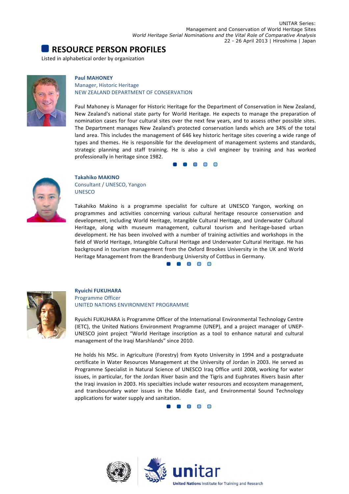## **RESOURCE PERSON PROFILES**

Listed in alphabetical order by organization



#### **Paul MAHONEY**

#### Manager, Historic Heritage NEW ZEALAND DEPARTMENT OF CONSERVATION

Paul Mahoney is Manager for Historic Heritage for the Department of Conservation in New Zealand, New Zealand's national state party for World Heritage. He expects to manage the preparation of nomination cases for four cultural sites over the next few years, and to assess other possible sites. The Department manages New Zealand's protected conservation lands which are 34% of the total land area. This includes the management of 646 key historic heritage sites covering a wide range of types and themes. He is responsible for the development of management systems and standards, strategic planning and staff training. He is also a civil engineer by training and has worked professionally in heritage since 1982.

 $\Box$ 



**Takahiko MAKINO** Consultant / UNESCO, Yangon UNESCO

Takahiko Makino is a programme specialist for culture at UNESCO Yangon, working on programmes and activities concerning various cultural heritage resource conservation and development, including World Heritage, Intangible Cultural Heritage, and Underwater Cultural Heritage, along with museum management, cultural tourism and heritage-based urban development. He has been involved with a number of training activities and workshops in the field of World Heritage, Intangible Cultural Heritage and Underwater Cultural Heritage. He has background in tourism management from the Oxford Brookes University in the UK and World Heritage Management from the Brandenburg University of Cottbus in Germany.





#### **Ryuichi FUKUHARA** Programme Officer UNITED NATIONS ENVIRONMENT PROGRAMME

Ryuichi FUKUHARA is Programme Officer of the International Environmental Technology Centre (IETC), the United Nations Environment Programme (UNEP), and a project manager of UNEP-UNESCO joint project "World Heritage inscription as a tool to enhance natural and cultural management of the Iraqi Marshlands" since 2010.

He holds his MSc. in Agriculture (Forestry) from Kyoto University in 1994 and a postgraduate certificate in Water Resources Management at the University of Jordan in 2003. He served as Programme Specialist in Natural Science of UNESCO Iraq Office until 2008, working for water issues, in particular, for the Jordan River basin and the Tigris and Euphrates Rivers basin after the Iraqi invasion in 2003. His specialties include water resources and ecosystem management, and transboundary water issues in the Middle East, and Environmental Sound Technology applications for water supply and sanitation.



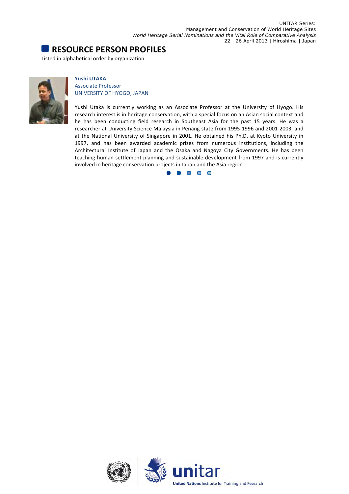## **RESOURCE PERSON PROFILES**

Listed in alphabetical order by organization



#### **Yushi UTAKA** Associate Professor UNIVERSITY OF HYOGO, JAPAN

Yushi Utaka is currently working as an Associate Professor at the University of Hyogo. His research interest is in heritage conservation, with a special focus on an Asian social context and he has been conducting field research in Southeast Asia for the past 15 years. He was a researcher at University Science Malaysia in Penang state from 1995-1996 and 2001-2003, and at the National University of Singapore in 2001. He obtained his Ph.D. at Kyoto University in 1997, and has been awarded academic prizes from numerous institutions, including the Architectural Institute of Japan and the Osaka and Nagoya City Governments. He has been teaching human settlement planning and sustainable development from 1997 and is currently involved in heritage conservation projects in Japan and the Asia region.



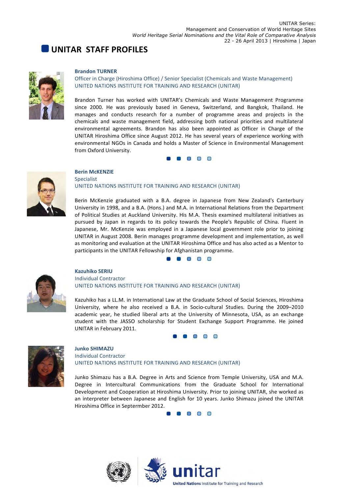## **UNITAR STAFF PROFILES**



#### **Brandon TURNER**

**Berin McKENZIE**

Officer in Charge (Hiroshima Office) / Senior Specialist (Chemicals and Waste Management) UNITED NATIONS INSTITUTE FOR TRAINING AND RESEARCH (UNITAR)

Brandon Turner has worked with UNITAR's Chemicals and Waste Management Programme since 2000. He was previously based in Geneva, Switzerland, and Bangkok, Thailand, He manages and conducts research for a number of programme areas and projects in the chemicals and waste management field, addressing both national priorities and multilateral environmental agreements. Brandon has also been appointed as Officer in Charge of the UNITAR Hiroshima Office since August 2012. He has several years of experience working with environmental NGOs in Canada and holds a Master of Science in Environmental Management from Oxford University.

#### 8 8 8 8 8



#### Specialist UNITED NATIONS INSTITUTE FOR TRAINING AND RESEARCH (UNITAR)

Berin McKenzie graduated with a B.A. degree in Japanese from New Zealand's Canterbury University in 1998, and a B.A. (Hons.) and M.A. in International Relations from the Department of Political Studies at Auckland University. His M.A. Thesis examined multilateral initiatives as pursued by Japan in regards to its policy towards the People's Republic of China. Fluent in Japanese, Mr. McKenzie was employed in a Japanese local government role prior to joining UNITAR in August 2008. Berin manages programme development and implementation, as well as monitoring and evaluation at the UNITAR Hiroshima Office and has also acted as a Mentor to participants in the UNITAR Fellowship for Afghanistan programme.

**. .** . . .



#### **Kazuhiko SERIU** Individual Contractor UNITED NATIONS INSTITUTE FOR TRAINING AND RESEARCH (UNITAR)

Kazuhiko has a LL.M. in International Law at the Graduate School of Social Sciences, Hiroshima University, where he also received a B.A. in Socio-cultural Studies. During the 2009-2010 academic year, he studied liberal arts at the University of Minnesota, USA, as an exchange student with the JASSO scholarship for Student Exchange Support Programme. He joined UNITAR in February 2011.





#### **Junko SHIMAZU** Individual Contractor UNITED NATIONS INSTITUTE FOR TRAINING AND RESEARCH (UNITAR)

Junko Shimazu has a B.A. Degree in Arts and Science from Temple University, USA and M.A. Degree in Intercultural Communications from the Graduate School for International Development and Cooperation at Hiroshima University. Prior to joining UNITAR, she worked as an interpreter between Japanese and English for 10 years. Junko Shimazu joined the UNITAR Hiroshima Office in Septermber 2012.

 $\blacksquare$ 

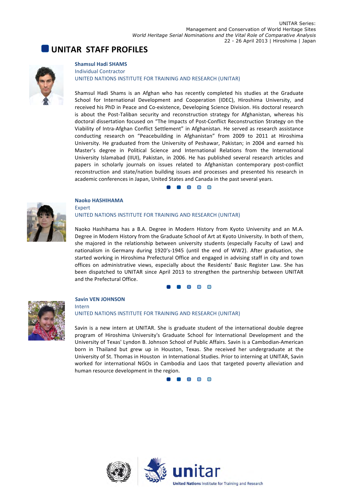## **UNITAR STAFF PROFILES**



#### **Shamsul Hadi SHAMS** Individual Contractor UNITED NATIONS INSTITUTE FOR TRAINING AND RESEARCH (UNITAR)

Shamsul Hadi Shams is an Afghan who has recently completed his studies at the Graduate School for International Development and Cooperation (IDEC), Hiroshima University, and received his PhD in Peace and Co-existence, Developing Science Division. His doctoral research is about the Post-Taliban security and reconstruction strategy for Afghanistan, whereas his doctoral dissertation focused on "The Impacts of Post-Conflict Reconstruction Strategy on the Viability of Intra-Afghan Conflict Settlement" in Afghanistan. He served as research assistance conducting research on "Peacebuilding in Afghanistan" from 2009 to 2011 at Hiroshima University. He graduated from the University of Peshawar, Pakistan; in 2004 and earned his Master's degree in Political Science and International Relations from the International University Islamabad (IIUI), Pakistan, in 2006. He has published several research articles and papers in scholarly journals on issues related to Afghanistan contemporary post-conflict reconstruction and state/nation building issues and processes and presented his research in academic conferences in Japan, United States and Canada in the past several years.

#### **. . . .**



#### **Naoko HASHIHAMA** Expert UNITED NATIONS INSTITUTE FOR TRAINING AND RESEARCH (UNITAR)

Naoko Hashihama has a B.A. Degree in Modern History from Kyoto University and an M.A. Degree in Modern History from the Graduate School of Art at Kyoto University. In both of them, she majored in the relationship between university students (especially Faculty of Law) and nationalism in Germany during 1920's-1945 (until the end of WW2). After graduation, she started working in Hiroshima Prefectural Office and engaged in advising staff in city and town offices on administrative views, especially about the Residents' Basic Register Law. She has been dispatched to UNITAR since April 2013 to strengthen the partnership between UNITAR and the Prefectural Office.





#### **Savin VEN JOHNSON**

Intern

#### UNITED NATIONS INSTITUTE FOR TRAINING AND RESEARCH (UNITAR)

Savin is a new intern at UNITAR. She is graduate student of the international double degree program of Hiroshima University's Graduate School for International Development and the University of Texas' Lyndon B. Johnson School of Public Affairs. Savin is a Cambodian-American born in Thailand but grew up in Houston, Texas. She received her undergraduate at the University of St. Thomas in Houston in International Studies. Prior to interning at UNITAR, Savin worked for international NGOs in Cambodia and Laos that targeted poverty alleviation and human resource development in the region.

8 8 8 8 8